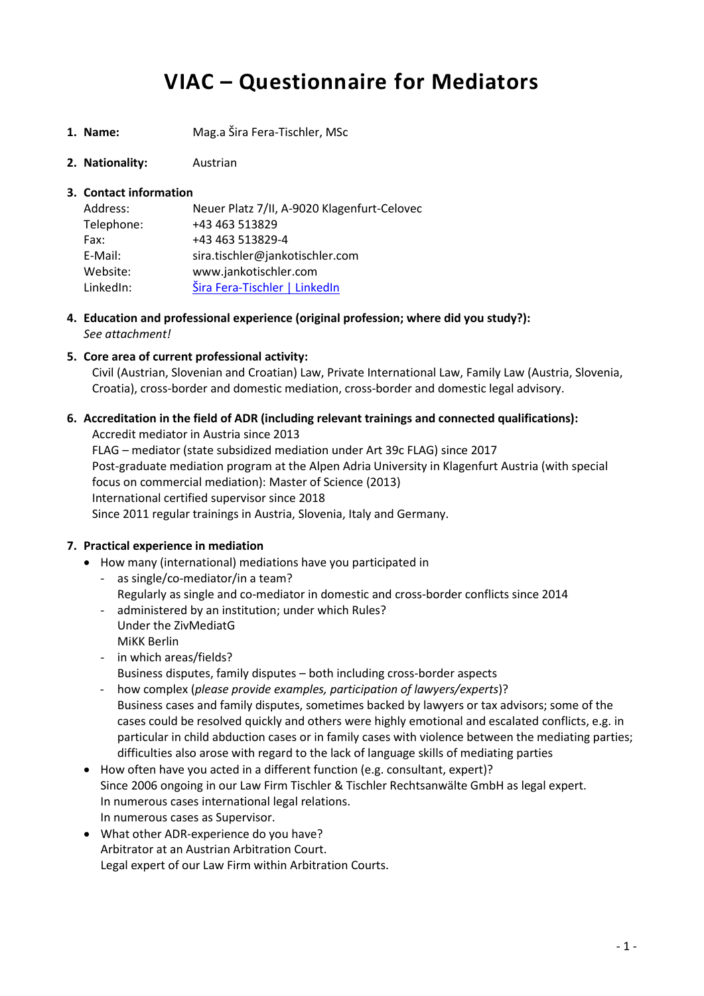# **VIAC – Questionnaire for Mediators**

- **1. Name:** Mag.a Šira Fera-Tischler, MSc
- **2. Nationality:** Austrian

# **3. Contact information**

| Address:   | Neuer Platz 7/II, A-9020 Klagenfurt-Celovec |
|------------|---------------------------------------------|
| Telephone: | +43 463 513829                              |
| Fax:       | +43 463 513829-4                            |
| E-Mail:    | sira.tischler@jankotischler.com             |
| Website:   | www.jankotischler.com                       |
| LinkedIn:  | Šira Fera-Tischler   LinkedIn               |

- **4. Education and professional experience (original profession; where did you study?):** *See attachment!*
- **5. Core area of current professional activity:**

Civil (Austrian, Slovenian and Croatian) Law, Private International Law, Family Law (Austria, Slovenia, Croatia), cross-border and domestic mediation, cross-border and domestic legal advisory.

# **6. Accreditation in the field of ADR (including relevant trainings and connected qualifications):**

Accredit mediator in Austria since 2013 FLAG – mediator (state subsidized mediation under Art 39c FLAG) since 2017 Post-graduate mediation program at the Alpen Adria University in Klagenfurt Austria (with special focus on commercial mediation): Master of Science (2013) International certified supervisor since 2018 Since 2011 regular trainings in Austria, Slovenia, Italy and Germany.

#### **7. Practical experience in mediation**

- How many (international) mediations have you participated in
	- as single/co-mediator/in a team? Regularly as single and co-mediator in domestic and cross-border conflicts since 2014
	- administered by an institution; under which Rules? Under the ZivMediatG MiKK Berlin
	- in which areas/fields? Business disputes, family disputes – both including cross-border aspects
	- how complex (*please provide examples, participation of lawyers/experts*)? Business cases and family disputes, sometimes backed by lawyers or tax advisors; some of the cases could be resolved quickly and others were highly emotional and escalated conflicts, e.g. in particular in child abduction cases or in family cases with violence between the mediating parties; difficulties also arose with regard to the lack of language skills of mediating parties
- How often have you acted in a different function (e.g. consultant, expert)? Since 2006 ongoing in our Law Firm Tischler & Tischler Rechtsanwälte GmbH as legal expert. In numerous cases international legal relations. In numerous cases as Supervisor.
- What other ADR-experience do you have? Arbitrator at an Austrian Arbitration Court. Legal expert of our Law Firm within Arbitration Courts.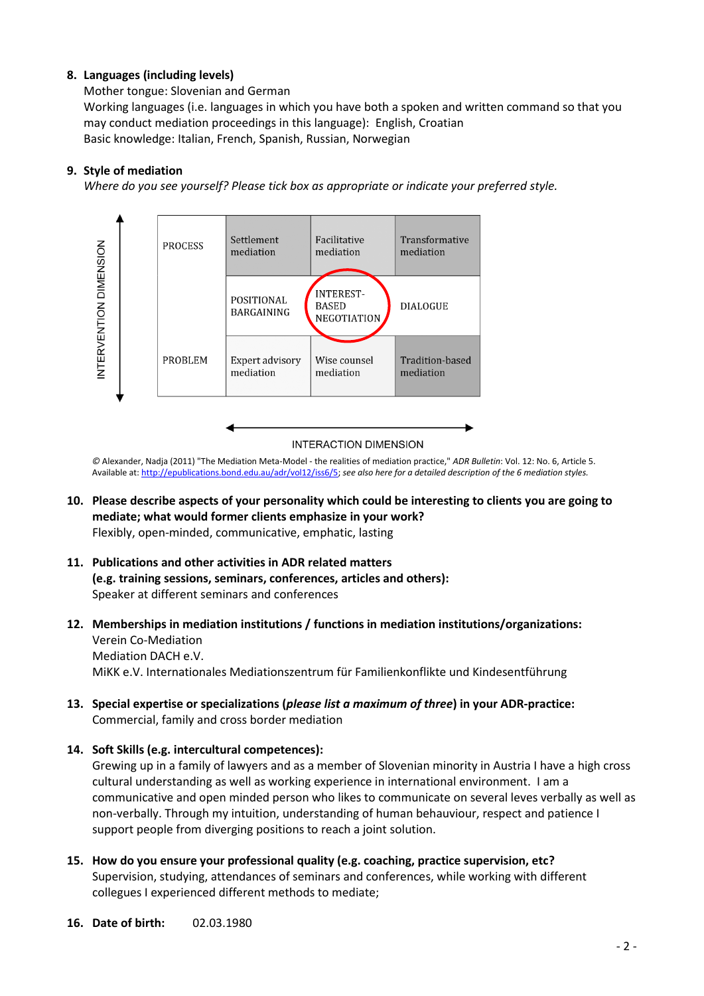# **8. Languages (including levels)**

Mother tongue: Slovenian and German Working languages (i.e. languages in which you have both a spoken and written command so that you may conduct mediation proceedings in this language): English, Croatian Basic knowledge: Italian, French, Spanish, Russian, Norwegian

# **9. Style of mediation**

*Where do you see yourself? Please tick box as appropriate or indicate your preferred style.*



*©* Alexander, Nadja (2011) "The Mediation Meta-Model - the realities of mediation practice," *ADR Bulletin*: Vol. 12: No. 6, Article 5. Available at: [http://epublications.bond.edu.au/adr/vol12/iss6/5;](http://epublications.bond.edu.au/adr/vol12/iss6/5) *see also here for a detailed description of the 6 mediation styles.*

- **10. Please describe aspects of your personality which could be interesting to clients you are going to mediate; what would former clients emphasize in your work?** Flexibly, open-minded, communicative, emphatic, lasting
- **11. Publications and other activities in ADR related matters (e.g. training sessions, seminars, conferences, articles and others):** Speaker at different seminars and conferences
- **12. Memberships in mediation institutions / functions in mediation institutions/organizations:** Verein Co-Mediation Mediation DACH e.V. MiKK e.V. Internationales Mediationszentrum für Familienkonflikte und Kindesentführung
- **13. Special expertise or specializations (***please list a maximum of three***) in your ADR-practice:** Commercial, family and cross border mediation
- **14. Soft Skills (e.g. intercultural competences):**

Grewing up in a family of lawyers and as a member of Slovenian minority in Austria I have a high cross cultural understanding as well as working experience in international environment. I am a communicative and open minded person who likes to communicate on several leves verbally as well as non-verbally. Through my intuition, understanding of human behauviour, respect and patience I support people from diverging positions to reach a joint solution.

- **15. How do you ensure your professional quality (e.g. coaching, practice supervision, etc?** Supervision, studying, attendances of seminars and conferences, while working with different collegues I experienced different methods to mediate;
- **16. Date of birth:** 02.03.1980